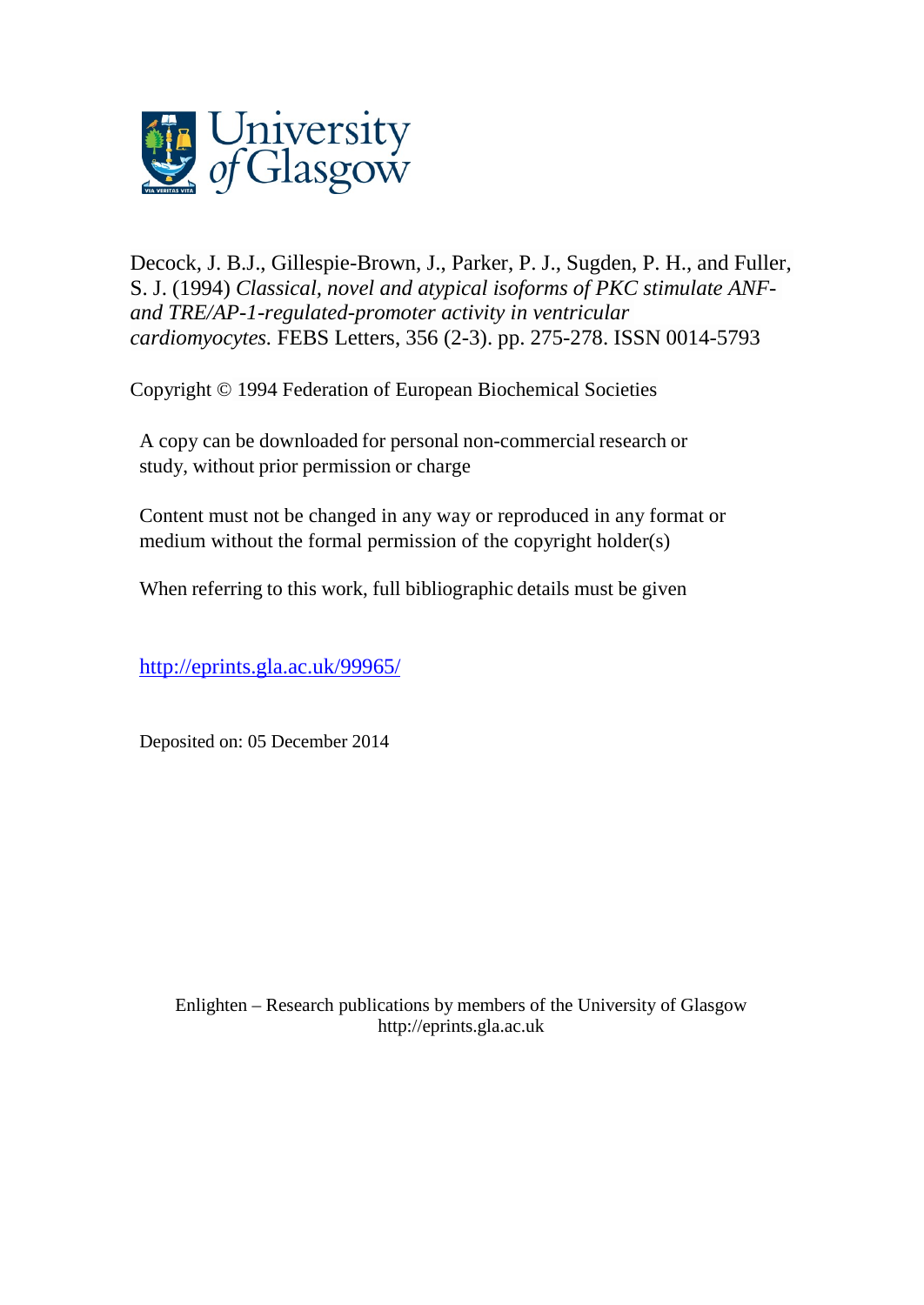

Decock, J. B.J., [Gillespie-Brown, J.,](http://eprints.gla.ac.uk/view/author/6192.html) Parker, P. J., Sugden, P. H., and Fuller, S. J. (1994) *Classical, novel and atypical isoforms of PKC stimulate ANFand TRE/AP-1-regulated-promoter activity in ventricular cardiomyocytes.* [FEBS Letters,](http://eprints.gla.ac.uk/view/journal_volume/FEBS_Letters.html) 356 (2-3). pp. 275-278. ISSN 0014-5793

Copyright © 1994 Federation of European Biochemical Societies

A copy can be downloaded for personal non-commercial research or study, without prior permission or charge

Content must not be changed in any way or reproduced in any format or medium without the formal permission of the copyright holder(s)

When referring to this work, full bibliographic details must be given

<http://eprints.gla.ac.uk/99965/>

Deposited on: 05 December 2014

Enlighten – Research publications by members of the University of Glasgo[w](http://eprints.gla.ac.uk/) [http://eprints.gla.ac.uk](http://eprints.gla.ac.uk/)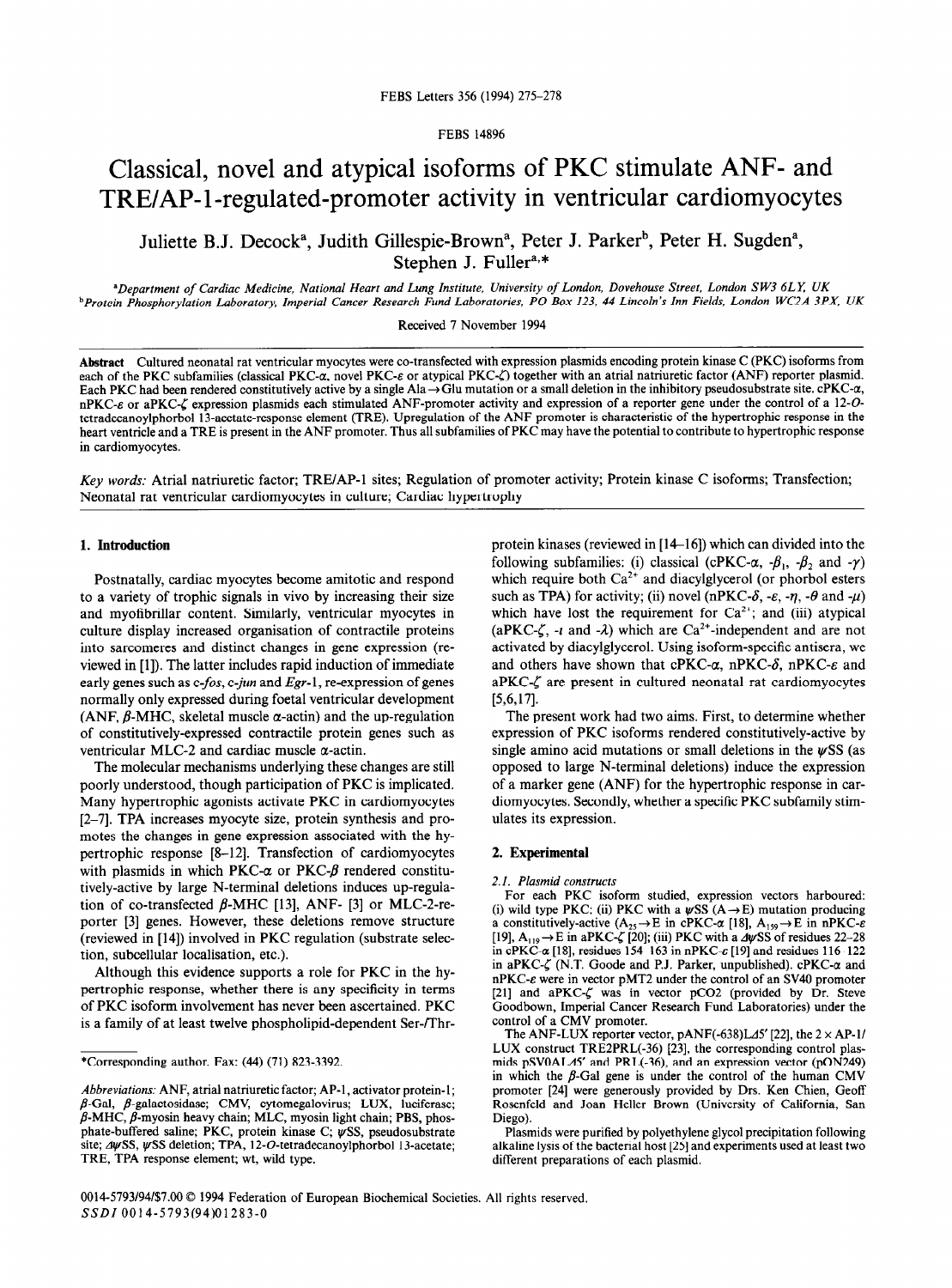FEBS 14896

# Classical, novel and atypical isoforms of PKC stimulate ANF- and TRE/AP-1-regulated-promoter activity in ventricular cardiomyocytes

Juliette B.J. Decock<sup>a</sup>, Judith Gillespie-Brown<sup>a</sup>, Peter J. Parker<sup>b</sup>, Peter H. Sugden<sup>a</sup>, Stephen J. Fuller<sup>a,\*</sup>

*"Department of Cardiac Medicine, National Heart and Lung Institute, University of London, Dovehouse Street, London S W3 6LE UK bProtein Phosphorylation Laboratory, Imperial Cancer Research Fund Laboratories, PO Box 123, 44 Lincoln's Inn Fields, London WC2A 3PX, UK* 

Received 7 November 1994

Abstract Cultured neonatal rat ventricular myocytes were co-transfected with expression plasmids encoding protein kinase C (PKC) isoforrns from each of the PKC subfamilies (classical PKC- $\alpha$ , novel PKC- $\varepsilon$  or atypical PKC- $\zeta$ ) together with an atrial natriuretic factor (ANF) reporter plasmid. Each PKC had been rendered constitutively active by a single Ala  $\rightarrow$  Glu mutation or a small deletion in the inhibitory pseudosubstrate site. cPKC- $\alpha$ , nPKC- $\varepsilon$  or aPKC- $\zeta$  expression plasmids each stimulated ANF-promoter activity and expression of a reporter gene under the control of a 12-Otetradecanoylphorbol 13-acetate-response element (TRE). Upregulation of the ANF promoter is characteristic of the hypertrophic response in the heart ventricle and a TRE is present in the ANF promoter. Thus all subfamilies of PKC may have the potential to contribute to hypertrophic response in cardiomyocytes.

*Key words:* Atria1 natriuretic factor; TRE/AP-1 sites; Regulation of promoter activity; Protein kinase C isoforms; Transfection; Neonatal rat ventricular cardiomyocytes in culture; Cardiac hypertrophy

## **1. Introduction**

Postnatally, cardiac myocytes become amitotic and respond to a variety of trophic signals in vivo by increasing their size and myofibrillar content. Similarly, ventricular myocytes in culture display increased organisation of contractile proteins into sarcomeres and distinct changes in gene expression (reviewed in [1]). The latter includes rapid induction of immediate early genes such as *c-fos, c-jun* and *Egr-* 1, re-expression of genes normally only expressed during foetal ventricular development (ANF,  $\beta$ -MHC, skeletal muscle  $\alpha$ -actin) and the up-regulation of constitutively-expressed contractile protein genes such as ventricular MLC-2 and cardiac muscle  $\alpha$ -actin.

The molecular mechanisms underlying these changes are still poorly understood, though participation of PKC is implicated. Many hypertrophic agonists activate PKC in cardiomyocytes [2-71. TPA increases myocyte size, protein synthesis and promotes the changes in gene expression associated with the hypertrophic response [S-12]. Transfection of cardiomyocytes with plasmids in which PKC- $\alpha$  or PKC- $\beta$  rendered constitutively-active by large N-terminal deletions induces up-regulation of co-transfected  $\beta$ -MHC [13], ANF- [3] or MLC-2-reporter [3] genes. However, these deletions remove structure (reviewed in [14]) involved in PKC regulation (substrate selection, subcellular localisation, etc.).

Although this evidence supports a role for PKC in the hypertrophic response, whether there is any specificity in terms of PKC isoform involvement has never been ascertained. PKC is a family of at least twelve phospholipid-dependent Ser-/Thrprotein kinases (reviewed in [14-161) which can divided into the following subfamilies: (i) classical (cPKC- $\alpha$ ,  $-\beta_1$ ,  $-\beta_2$ , and  $-\gamma$ ) which require both  $Ca^{2+}$  and diacylglycerol (or phorbol esters such as TPA) for activity; (ii) novel (nPKC- $\delta$ , - $\varepsilon$ , - $\eta$ , - $\theta$  and - $\mu$ ) which have lost the requirement for  $Ca^{2+}$ ; and (iii) atypical (aPKC- $\zeta$ , -*i* and - $\lambda$ ) which are Ca<sup>2+</sup>-independent and are not activated by diacylglycerol. Using isoform-specific antisera, we and others have shown that cPKC- $\alpha$ , nPKC- $\delta$ , nPKC- $\varepsilon$  and aPKC- $\zeta$  are present in cultured neonatal rat cardiomyocytes **t5,6,171.** 

The present work had two aims. First, to determine whether expression of PKC isoforms rendered constitutively-active by single amino acid mutations or small deletions in the  $\psi$ SS (as opposed to large N-terminal deletions) induce the expression of a marker gene (ANF) for the hypertrophic response in cardiomyocytes. Secondly, whether a specific PKC subfamily stimulates its expression.

### 2. **Experimental**

#### *2.1. Plasmid constructs*

For each PKC isoform studied, expression vectors harboured: (i) wild type PKC; (ii) PKC with a  $\psi$ SS (A  $\rightarrow$  E) mutation producing a constitutively-active ( $A_{25} \rightarrow E$  in cPKC- $\alpha$  [18],  $A_{159} \rightarrow E$  in nPKC- $\varepsilon$ [19],  $A_{119} \rightarrow E$  in aPKC- $\zeta$  [20]; (iii) PKC with a  $\Delta \psi$ SS of residues 22-28 in cPKC- $\alpha$  [18], residues 154–163 in nPKC- $\varepsilon$  [19] and residues 116–122 in aPKC- $\zeta$  (N.T. Goode and P.J. Parker, unpublished). cPKC- $\alpha$  and nPKC-e were in vector pMT2 under the control of an SV40 promoter [21] and aPKC- $\zeta$  was in vector pCO2 (provided by Dr. Steve Goodbown, Imperial Cancer Research Fund Laboratories) under the control of a CMV promoter.

The ANF-LUX reporter vector,  $pANF(-638)L\Delta 5'$  [22], the  $2 \times AP-1/$ LUX construct TRE2PRL(-36) [23], the corresponding control plasmids pSVOALd5' and PRL(-36), and an expression vector (pON249) in which the  $\beta$ -Gal gene is under the control of the human CMV promoter [24] were generously provided by Drs. Ken Chien, Geoff Rosenfeld and Joan Heller Brown (University of California, San Diego).

Plasmids were purified by polyethylene glycol precipitation following alkaline lysis of the bacterial host [25] and experiments used at least two different preparations of each plasmid.

<sup>\*</sup>Corresponding author. Fax: (44) (71) 823-3392.

*Abbreviations:* ANF, atria1 natriuretic factor; AP-1, activator protein-l;  $\beta$ -Gal,  $\beta$ -galactosidase; CMV, cytomegalovirus; LUX, luciferase;  $\beta$ -MHC,  $\beta$ -myosin heavy chain; MLC, myosin light chain; PBS, phosphate-buffered saline; PKC, protein kinase C;  $\psi$ SS, pseudosubstrate site;  $\Delta \psi$ SS,  $\psi$ SS deletion; TPA, 12-O-tetradecanoylphorbol 13-acetate; TRE, TPA response element; wt, wild type.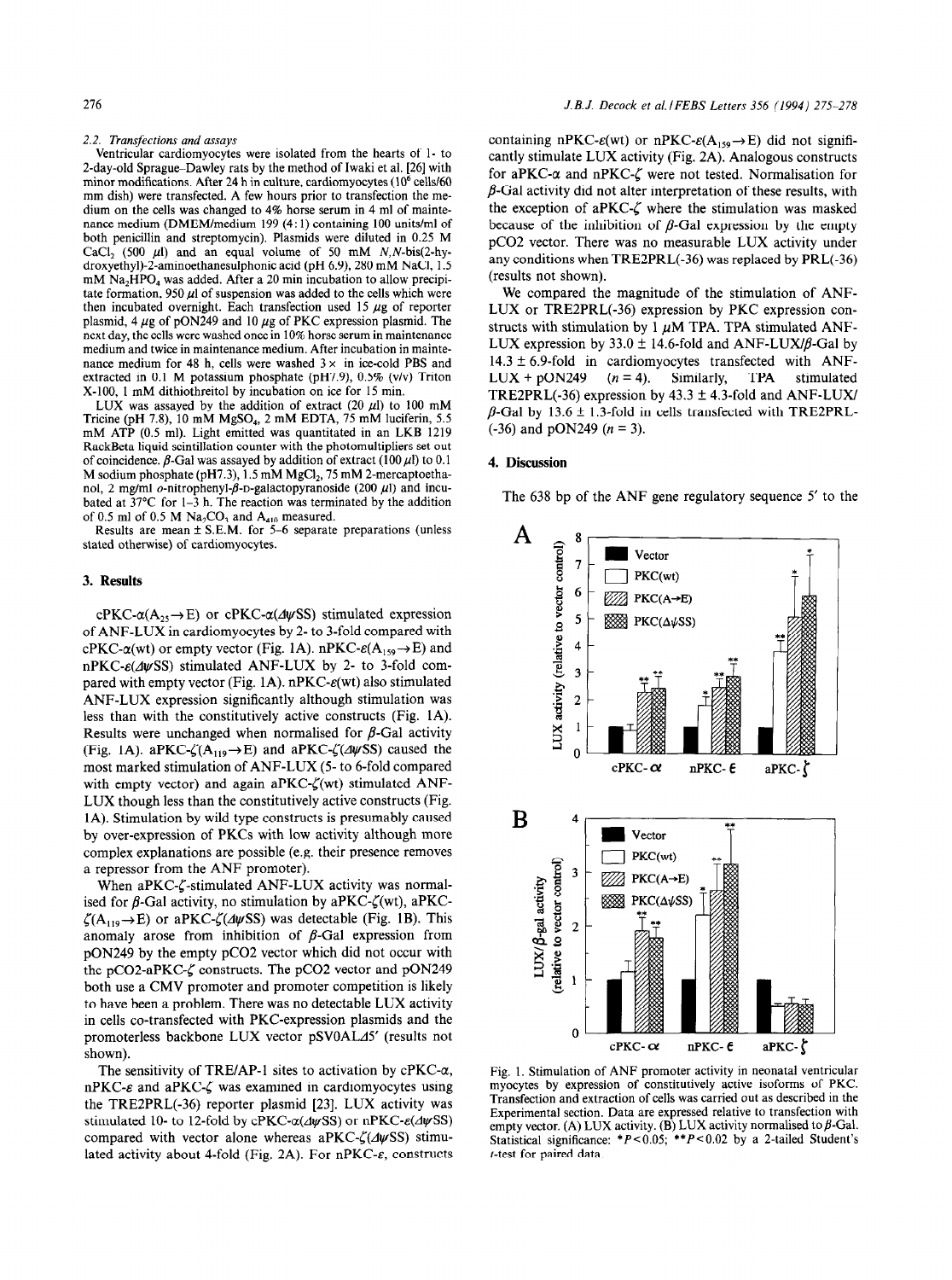### *2.2. Transfections and assays*

Ventricular cardiomyocytes were isolated from the hearts of 1- to 2-day-old Sprague-Dawley rats by the method of Iwaki et al. [26] with minor modifications. After 24 h in culture, cardiomyocytes  $(10<sup>6</sup>$  cells/60 mm dish) were transfected. A few hours prior to transfection the medium on the cells was changed to 4% horse serum in 4 ml of maintenance medium (DMEM/medium 199 (4: 1) containing 100 units/ml of both penicillin and streptomycin). Plasmids were diluted in 0.25 M CaCl<sub>2</sub> (500  $\mu$ l) and an equal volume of 50 mM N,N-bis(2-hydroxyethyl)-2-aminoethanesulphonic acid (pH 6.9), 280 mM NaCI, 1.5 mM Na<sub>2</sub>HPO<sub>4</sub> was added. After a 20 min incubation to allow precipitate formation, 950  $\mu$ l of suspension was added to the cells which were then incubated overnight. Each transfection used 15  $\mu$ g of reporter plasmid, 4  $\mu$ g of pON249 and 10  $\mu$ g of PKC expression plasmid. The next day, the cells were washed once in 10% horse serum in maintenance medium and twice in maintenance medium. After incubation in maintenance medium for 48 h, cells were washed  $3 \times$  in ice-cold PBS and extracted in 0.1 M potassium phosphate (pH7.9), 0.5% (v/v) Triton X-100, 1 mM dithiothreitol by incubation on ice for 15 min.

LUX was assayed by the addition of extract (20  $\mu$ l) to 100 mM Tricine (pH 7.8), 10 mM MgSO<sub>4</sub>, 2 mM EDTA, 75 mM luciferin, 5.5 mM ATP (0.5 ml). Light emitted was quantitated in an LKB 1219 RackBeta liquid scintillation counter with the photomultipliers set out of coincidence.  $\beta$ -Gal was assayed by addition of extract (100  $\mu$ l) to 0.1 M sodium phosphate (pH7.3),  $1.5$  mM MgCl<sub>2</sub>, 75 mM 2-mercaptoethanol, 2 mg/ml  $o$ -nitrophenyl- $\beta$ -D-galactopyranoside (200  $\mu$ l) and incubated at  $37^{\circ}$ C for 1-3 h. The reaction was terminated by the addition of 0.5 ml of 0.5 M  $\text{Na}_2\text{CO}_3$  and  $\text{A}_{410}$  measured.

Results are mean  $\pm$  S.E.M. for 5-6 separate preparations (unless stated otherwise) of cardiomyocytes.

# **3. Results**

cPKC- $\alpha(A_{25} \rightarrow E)$  or cPKC- $\alpha(\Delta \psi$ SS) stimulated expression of ANF-LUX in cardiomyocytes by 2- to 3-fold compared with cPKC- $\alpha$ (wt) or empty vector (Fig. 1A). nPKC- $\varepsilon$ (A<sub>159</sub> $\rightarrow$ E) and  $nPKC- $\varepsilon$ (\text{d}\psi SS) stimulated ANF-LUX by 2- to 3-fold com$ pared with empty vector (Fig. 1A).  $nPKC-\varepsilon(wt)$  also stimulated ANF-LUX expression significantly although stimulation was less than with the constitutively active constructs (Fig. 1A). Results were unchanged when normalised for  $\beta$ -Gal activity (Fig. 1A). aPKC- $\zeta(A_{119} \rightarrow E)$  and aPKC- $\zeta(\Delta \psi S)$  caused the most marked stimulation of ANF-LUX (5- to 6-fold compared with empty vector) and again aPKC- $\zeta(\text{wt})$  stimulated ANF-LUX though less than the constitutively active constructs (Fig. 1A). Stimulation by wild type constructs is presumably caused by over-expression of PKCs with low activity although more complex explanations are possible (e.g. their presence removes a repressor from the ANF promoter).

When aPKC- $\zeta$ -stimulated ANF-LUX activity was normalised for  $\beta$ -Gal activity, no stimulation by aPKC- $\zeta(\text{wt})$ , aPKC- $\zeta(A_{119} \rightarrow E)$  or aPKC- $\zeta(\Delta \psi SS)$  was detectable (Fig. 1B). This anomaly arose from inhibition of  $\beta$ -Gal expression from pON249 by the empty pCO2 vector which did not occur with the pCO2-aPKC- $\zeta$  constructs. The pCO2 vector and pON249 both use a CMV promoter and promoter competition is likely to have been a problem. There was no detectable LUX activity in cells co-transfected with PKC-expression plasmids and the promoterless backbone LUX vector pSVOALJ5' (results not shown).

The sensitivity of TRE/AP-1 sites to activation by  $cPKC-\alpha$ ,  $nPKC-\varepsilon$  and  $aPKC-\zeta$  was examined in cardiomyocytes using the TRE2PRL(-36) reporter plasmid [23]. LUX activity was stimulated 10- to 12-fold by cPKC- $\alpha$ ( $\Delta \psi$ SS) or nPKC- $\varepsilon$ ( $\Delta \psi$ SS) compared with vector alone whereas aPKC- $\zeta$ ( $\Delta \psi$ SS) stimulated activity about 4-fold (Fig. 2A). For nPKC- $\varepsilon$ , constructs

containing nPKC- $\varepsilon(wt)$  or nPKC- $\varepsilon(A_{159} \rightarrow E)$  did not significantly stimulate LUX activity (Fig. 2A). Analogous constructs for aPKC- $\alpha$  and nPKC- $\zeta$  were not tested. Normalisation for  $\beta$ -Gal activity did not alter interpretation of these results, with the exception of aPKC- $\zeta$  where the stimulation was masked because of the inhibition of  $\beta$ -Gal expression by the empty pCO2 vector. There was no measurable LUX activity under any conditions when TRE2PRL(-36) was replaced by PRL(-36) (results not shown).

We compared the magnitude of the stimulation of ANF-LUX or TRE2PRL(-36) expression by PKC expression constructs with stimulation by 1  $\mu$ M TPA. TPA stimulated ANF-LUX expression by 33.0  $\pm$  14.6-fold and ANF-LUX/ $\beta$ -Gal by  $14.3 \pm 6.9$ -fold in cardiomyocytes transfected with ANF- $LUX + pON249$  ( $n = 4$ ). Similarly, TPA stimulated TRE2PRL(-36) expression by  $43.3 \pm 4.3$ -fold and ANF-LUX/  $\beta$ -Gal by 13.6 ± 1.3-fold in cells transfected with TRE2PRL- $(-36)$  and pON249 ( $n = 3$ ).

#### 4. **Discussion**

The 638 bp of the ANF gene regulatory sequence  $5'$  to the



Fig. 1. Stimulation of ANF promoter activity in neonatal ventricular myocytes by expression of constitutively active isoforms of PKC. Transfection and extraction of cells was carried out as described in the Experimental section. Data are expressed relative to transfection with empty vector. (A) LUX activity. (B) LUX activity normalised to  $\beta$ -Gal. Statistical significance:  $*P < 0.05$ ;  $**P < 0.02$  by a 2-tailed Student's t-test for paired data.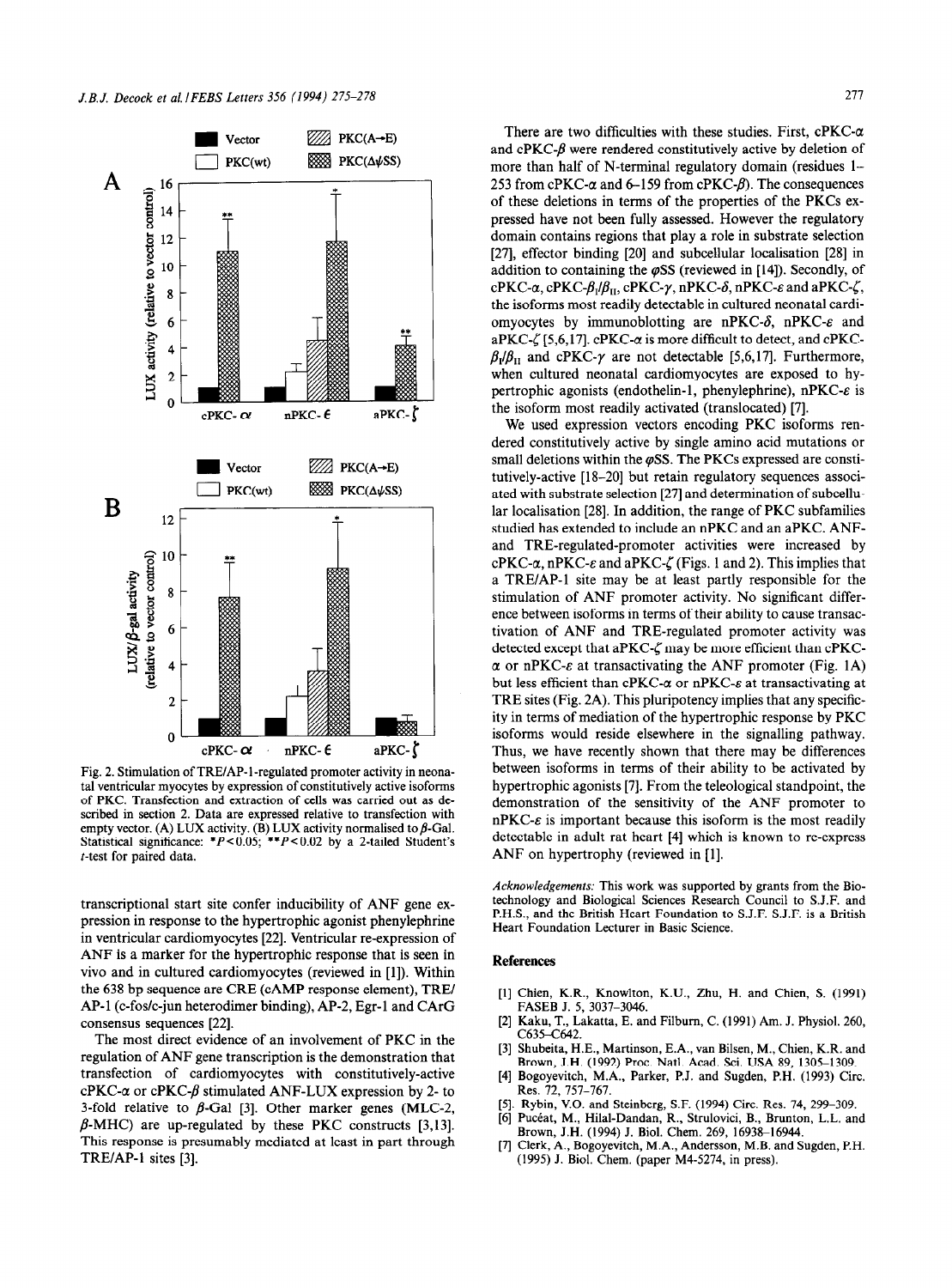

Fig. 2. Stimulation of TRE/AP-l-regulated promoter activity in neonatal ventricular myocytes by expression of constitutively active isoforms of PKC. Transfection and extraction of cells was carried out as described in section 2. Data are expressed relative to transfection with empty vector. (A) LUX activity. (B) LUX activity normalised to  $\beta$ -Gal. Statistical significance:  $*P < 0.05$ ;  $**P < 0.02$  by a 2-tailed Student's t-test for paired data.

transcriptional start site confer inducibility of ANF gene expression in response to the hypertrophic agonist phenylephrine in ventricular cardiomyocytes [22]. Ventricular re-expression of ANF is a marker for the hypertrophic response that is seen in vivo and in cultured cardiomyocytes (reviewed in [l]). Within the 638 bp sequence are CRE (CAMP response element), TRE/ AP-1 (c-fos/c-jun heterodimer binding), AP-2, Egr-1 and CArG consensus sequences [22].

The most direct evidence of an involvement of PKC in the regulation of ANF gene transcription is the demonstration that transfection of cardiomyocytes with constitutively-active cPKC- $\alpha$  or cPKC- $\beta$  stimulated ANF-LUX expression by 2- to 3-fold relative to  $\beta$ -Gal [3]. Other marker genes (MLC-2,  $\beta$ -MHC) are up-regulated by these PKC constructs [3,13]. This response is presumably mediated at least in part through TRE/AP-1 sites [3].

There are two difficulties with these studies. First,  $cPKC- $\alpha$$ and cPKC- $\beta$  were rendered constitutively active by deletion of more than half of N-terminal regulatory domain (residues 1– 253 from cPKC- $\alpha$  and 6-159 from cPKC- $\beta$ ). The consequences of these deletions in terms of the properties of the PKCs expressed have not been fully assessed. However the regulatory domain contains regions that play a role in substrate selection [27], effector binding [20] and subcellular localisation [28] in addition to containing the  $\varphi$ SS (reviewed in [14]). Secondly, of cPKC- $\alpha$ , cPKC- $\beta_1/\beta_{II}$ , cPKC- $\gamma$ , nPKC- $\delta$ , nPKC- $\varepsilon$  and aPKC- $\zeta$ , the isoforms most readily detectable in cultured neonatal cardiomyocytes by immunoblotting are nPKC- $\delta$ , nPKC- $\varepsilon$  and aPKC- $\zeta$  [5,6,17]. cPKC- $\alpha$  is more difficult to detect, and cPKC- $\beta_1/\beta_{II}$  and cPKC- $\gamma$  are not detectable [5,6,17]. Furthermore, when cultured neonatal cardiomyocytes are exposed to hypertrophic agonists (endothelin-1, phenylephrine),  $nPKC-\varepsilon$  is the isoform most readily activated (translocated) [7].

We used expression vectors encoding PKC isoforms rendered constitutively active by single amino acid mutations or small deletions within the  $\varphi$ SS. The PKCs expressed are constitutively-active [18-20] but retain regulatory sequences associated with substrate selection [27] and determination of subcellular localisation [28]. In addition, the range of PKC subfamilies studied has extended to include an nPKC and an aPKC. ANFand TRE-regulated-promoter activities were increased by  $cPKC-\alpha$ , nPKC- $\varepsilon$  and aPKC- $\zeta$  (Figs. 1 and 2). This implies that a TRE/AP-1 site may be at least partly responsible for the stimulation of ANF promoter activity. No significant difference between isoforms in terms of their ability to cause transactivation of ANF and TRE-regulated promoter activity was detected except that aPKC- $\zeta$  may be more efficient than cPKC- $\alpha$  or nPKC- $\varepsilon$  at transactivating the ANF promoter (Fig. 1A) but less efficient than cPKC- $\alpha$  or nPKC- $\varepsilon$  at transactivating at TRE sites (Fig. 2A). This pluripotency implies that any specificity in terms of mediation of the hypertrophic response by PKC isoforms would reside elsewhere in the signalling pathway. Thus, we have recently shown that there may be differences between isoforms in terms of their ability to be activated by hypertrophic agonists [7]. From the teleological standpoint, the demonstration of the sensitivity of the ANF promoter to  $nPKC- $\varepsilon$  is important because this isoform is the most readily$ detectable in adult rat heart [4] which is known to re-express ANF on hypertrophy (reviewed in [I].

*Acknowledgements:* This work was supported by grants from the Biotechnology and Biological Sciences Research Council to S.J.F. and P.H.S., and the British Heart Foundation to S.J.F. S.J.F. is a British Heart Foundation Lecturer in Basic Science.

## **References**

- [1] Chien, K.R., Knowlton, K.U., Zhu, H. and Chien, S. (1991) FASEB J. 5, 3037-3046.
- [2] Kaku, T., Lakatta, E. and Filbum, C. (1991) Am. J. Physiol. 260, C635-C642.
- [3] Shubeita, H.E., Martinson, E.A., van Bilsen, M., Chien, K.R. and Brown, J.H. (1992) Proc. Natl. Acad. Sci. USA 89, 1305-1309.
- [4] Bogoyevitch, M.A., Parker, P.J. and Sugden, P.H. (1993) Circ. Res. 72, 757-767.
- [5]. Rybin, V.O. and Steinberg, S.F. (1994) Circ. Res. 74, 299-309.
- [6] Pucéat, M., Hilal-Dandan, R., Strulovici, B., Brunton, L.L. and Brown, J.H. (1994) J. Biol. Chem. 269, 16938-16944.
- Clerk, A., Bogoyevitch, M.A., Andersson, M.B. and Sugden, P.H. (1995) J. Biol. Chem. (paper M4-5274, in press).